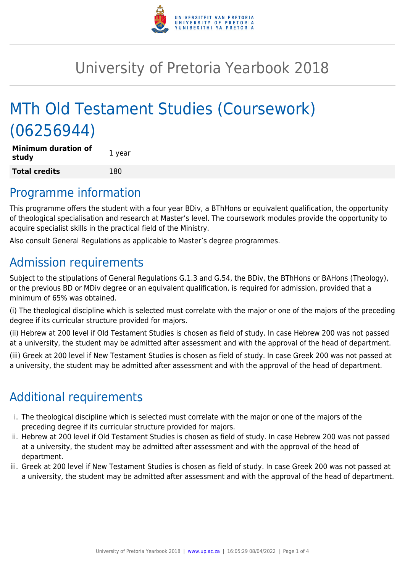

# University of Pretoria Yearbook 2018

# MTh Old Testament Studies (Coursework) (06256944)

| <b>Minimum duration of</b><br>study | 1 year |
|-------------------------------------|--------|
| <b>Total credits</b>                | 180    |

### Programme information

This programme offers the student with a four year BDiv, a BThHons or equivalent qualification, the opportunity of theological specialisation and research at Master's level. The coursework modules provide the opportunity to acquire specialist skills in the practical field of the Ministry.

Also consult General Regulations as applicable to Master's degree programmes.

# Admission requirements

Subject to the stipulations of General Regulations G.1.3 and G.54, the BDiv, the BThHons or BAHons (Theology), or the previous BD or MDiv degree or an equivalent qualification, is required for admission, provided that a minimum of 65% was obtained.

(i) The theological discipline which is selected must correlate with the major or one of the majors of the preceding degree if its curricular structure provided for majors.

(ii) Hebrew at 200 level if Old Testament Studies is chosen as field of study. In case Hebrew 200 was not passed at a university, the student may be admitted after assessment and with the approval of the head of department.

(iii) Greek at 200 level if New Testament Studies is chosen as field of study. In case Greek 200 was not passed at a university, the student may be admitted after assessment and with the approval of the head of department.

## Additional requirements

- i. The theological discipline which is selected must correlate with the major or one of the majors of the preceding degree if its curricular structure provided for majors.
- ii. Hebrew at 200 level if Old Testament Studies is chosen as field of study. In case Hebrew 200 was not passed at a university, the student may be admitted after assessment and with the approval of the head of department.
- iii. Greek at 200 level if New Testament Studies is chosen as field of study. In case Greek 200 was not passed at a university, the student may be admitted after assessment and with the approval of the head of department.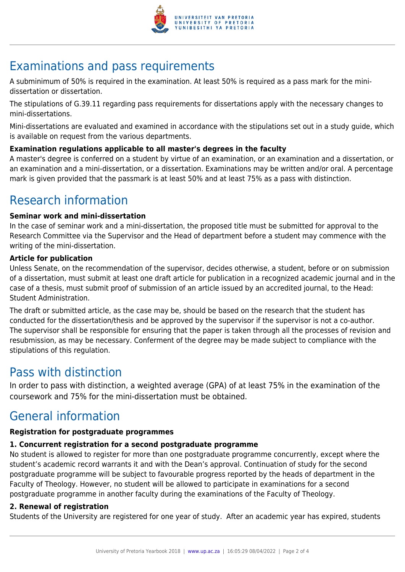

# Examinations and pass requirements

A subminimum of 50% is required in the examination. At least 50% is required as a pass mark for the minidissertation or dissertation.

The stipulations of G.39.11 regarding pass requirements for dissertations apply with the necessary changes to mini-dissertations.

Mini-dissertations are evaluated and examined in accordance with the stipulations set out in a study guide, which is available on request from the various departments.

### **Examination regulations applicable to all master's degrees in the faculty**

A master's degree is conferred on a student by virtue of an examination, or an examination and a dissertation, or an examination and a mini-dissertation, or a dissertation. Examinations may be written and/or oral. A percentage mark is given provided that the passmark is at least 50% and at least 75% as a pass with distinction.

## Research information

#### **Seminar work and mini-dissertation**

In the case of seminar work and a mini-dissertation, the proposed title must be submitted for approval to the Research Committee via the Supervisor and the Head of department before a student may commence with the writing of the mini-dissertation.

#### **Article for publication**

Unless Senate, on the recommendation of the supervisor, decides otherwise, a student, before or on submission of a dissertation, must submit at least one draft article for publication in a recognized academic journal and in the case of a thesis, must submit proof of submission of an article issued by an accredited journal, to the Head: Student Administration.

The draft or submitted article, as the case may be, should be based on the research that the student has conducted for the dissertation/thesis and be approved by the supervisor if the supervisor is not a co-author. The supervisor shall be responsible for ensuring that the paper is taken through all the processes of revision and resubmission, as may be necessary. Conferment of the degree may be made subject to compliance with the stipulations of this regulation.

### Pass with distinction

In order to pass with distinction, a weighted average (GPA) of at least 75% in the examination of the coursework and 75% for the mini-dissertation must be obtained.

### General information

### **Registration for postgraduate programmes**

### **1. Concurrent registration for a second postgraduate programme**

No student is allowed to register for more than one postgraduate programme concurrently, except where the student's academic record warrants it and with the Dean's approval. Continuation of study for the second postgraduate programme will be subject to favourable progress reported by the heads of department in the Faculty of Theology. However, no student will be allowed to participate in examinations for a second postgraduate programme in another faculty during the examinations of the Faculty of Theology.

### **2. Renewal of registration**

Students of the University are registered for one year of study. After an academic year has expired, students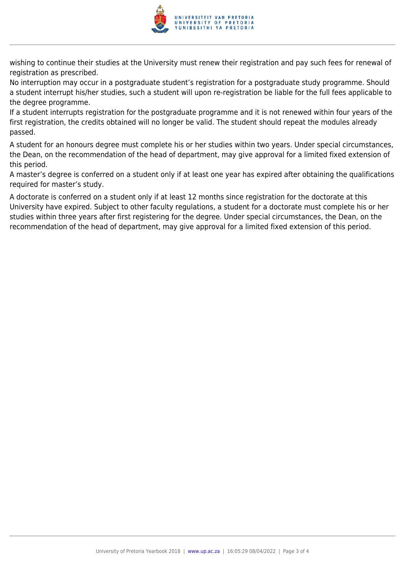

wishing to continue their studies at the University must renew their registration and pay such fees for renewal of registration as prescribed.

No interruption may occur in a postgraduate student's registration for a postgraduate study programme. Should a student interrupt his/her studies, such a student will upon re-registration be liable for the full fees applicable to the degree programme.

If a student interrupts registration for the postgraduate programme and it is not renewed within four years of the first registration, the credits obtained will no longer be valid. The student should repeat the modules already passed.

A student for an honours degree must complete his or her studies within two years. Under special circumstances, the Dean, on the recommendation of the head of department, may give approval for a limited fixed extension of this period.

A master's degree is conferred on a student only if at least one year has expired after obtaining the qualifications required for master's study.

A doctorate is conferred on a student only if at least 12 months since registration for the doctorate at this University have expired. Subject to other faculty regulations, a student for a doctorate must complete his or her studies within three years after first registering for the degree. Under special circumstances, the Dean, on the recommendation of the head of department, may give approval for a limited fixed extension of this period.